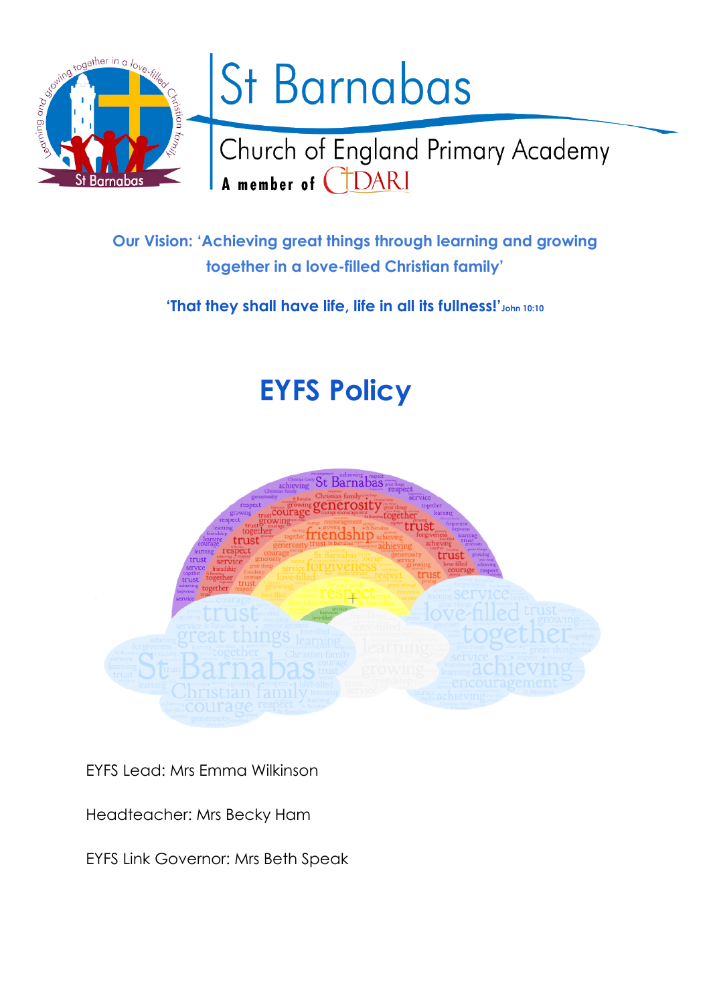

**Our Vision: 'Achieving great things through learning and growing together in a love-filled Christian family'**

**'That they shall have life, life in all its fullness!'John 10:10**

# **EYFS Policy**



EYFS Lead: Mrs Emma Wilkinson

Headteacher: Mrs Becky Ham

EYFS Link Governor: Mrs Beth Speak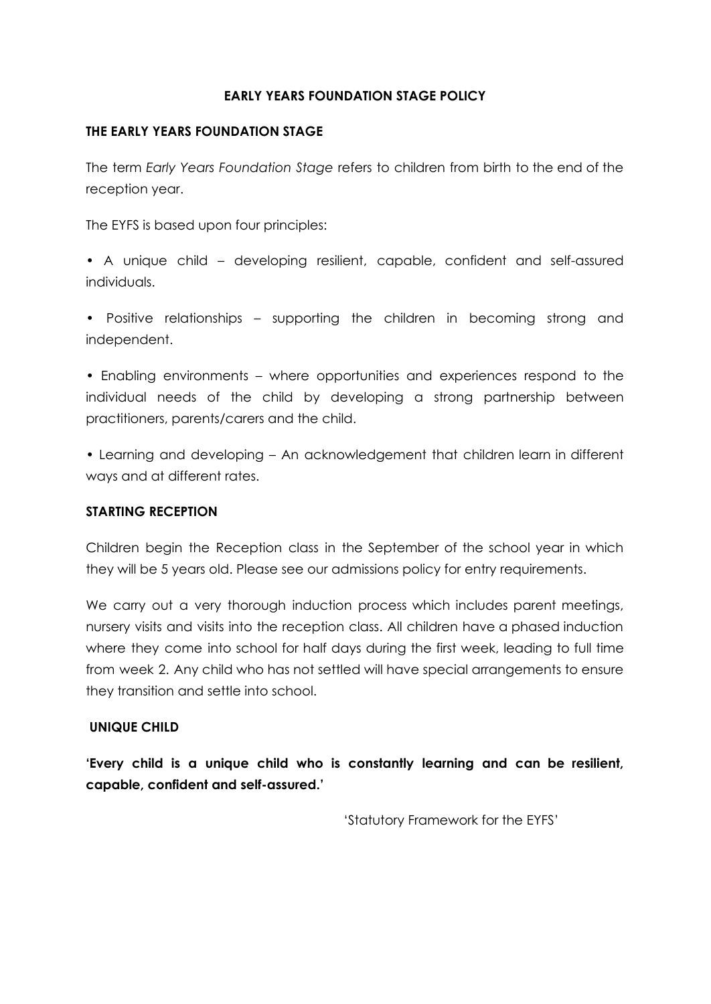# **EARLY YEARS FOUNDATION STAGE POLICY**

# **THE EARLY YEARS FOUNDATION STAGE**

The term *Early Years Foundation Stage* refers to children from birth to the end of the reception year.

The EYFS is based upon four principles:

• A unique child – developing resilient, capable, confident and self-assured individuals.

• Positive relationships – supporting the children in becoming strong and independent.

• Enabling environments – where opportunities and experiences respond to the individual needs of the child by developing a strong partnership between practitioners, parents/carers and the child.

• Learning and developing – An acknowledgement that children learn in different ways and at different rates.

# **STARTING RECEPTION**

Children begin the Reception class in the September of the school year in which they will be 5 years old. Please see our admissions policy for entry requirements.

We carry out a very thorough induction process which includes parent meetings, nursery visits and visits into the reception class. All children have a phased induction where they come into school for half days during the first week, leading to full time from week 2. Any child who has not settled will have special arrangements to ensure they transition and settle into school.

# **UNIQUE CHILD**

**'Every child is a unique child who is constantly learning and can be resilient, capable, confident and self-assured.'**

'Statutory Framework for the EYFS'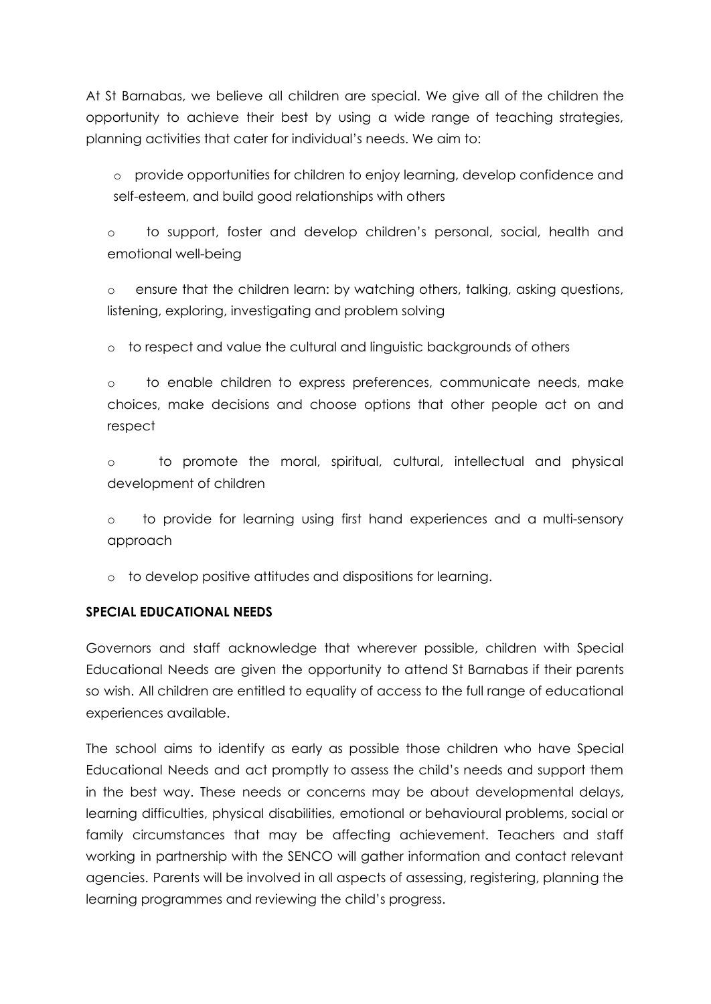At St Barnabas, we believe all children are special. We give all of the children the opportunity to achieve their best by using a wide range of teaching strategies, planning activities that cater for individual's needs. We aim to:

o provide opportunities for children to enjoy learning, develop confidence and self-esteem, and build good relationships with others

o to support, foster and develop children's personal, social, health and emotional well-being

o ensure that the children learn: by watching others, talking, asking questions, listening, exploring, investigating and problem solving

o to respect and value the cultural and linguistic backgrounds of others

o to enable children to express preferences, communicate needs, make choices, make decisions and choose options that other people act on and respect

o to promote the moral, spiritual, cultural, intellectual and physical development of children

o to provide for learning using first hand experiences and a multi-sensory approach

o to develop positive attitudes and dispositions for learning.

# **SPECIAL EDUCATIONAL NEEDS**

Governors and staff acknowledge that wherever possible, children with Special Educational Needs are given the opportunity to attend St Barnabas if their parents so wish. All children are entitled to equality of access to the full range of educational experiences available.

The school aims to identify as early as possible those children who have Special Educational Needs and act promptly to assess the child's needs and support them in the best way. These needs or concerns may be about developmental delays, learning difficulties, physical disabilities, emotional or behavioural problems, social or family circumstances that may be affecting achievement. Teachers and staff working in partnership with the SENCO will gather information and contact relevant agencies. Parents will be involved in all aspects of assessing, registering, planning the learning programmes and reviewing the child's progress.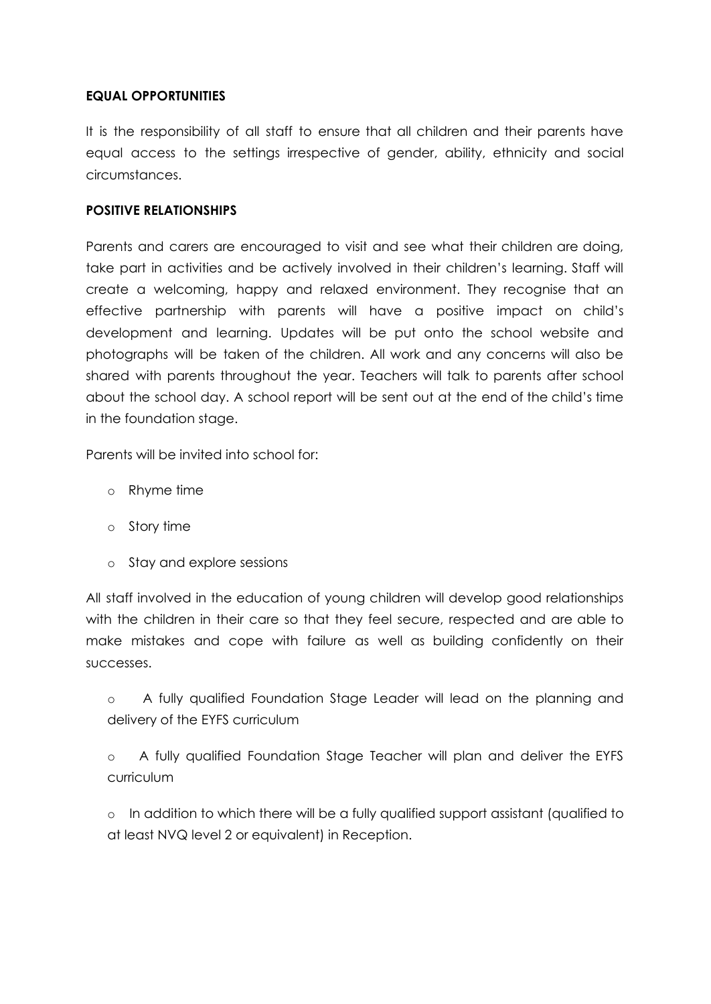# **EQUAL OPPORTUNITIES**

It is the responsibility of all staff to ensure that all children and their parents have equal access to the settings irrespective of gender, ability, ethnicity and social circumstances.

## **POSITIVE RELATIONSHIPS**

Parents and carers are encouraged to visit and see what their children are doing, take part in activities and be actively involved in their children's learning. Staff will create a welcoming, happy and relaxed environment. They recognise that an effective partnership with parents will have a positive impact on child's development and learning. Updates will be put onto the school website and photographs will be taken of the children. All work and any concerns will also be shared with parents throughout the year. Teachers will talk to parents after school about the school day. A school report will be sent out at the end of the child's time in the foundation stage.

Parents will be invited into school for:

- o Rhyme time
- o Story time
- o Stay and explore sessions

All staff involved in the education of young children will develop good relationships with the children in their care so that they feel secure, respected and are able to make mistakes and cope with failure as well as building confidently on their successes.

o A fully qualified Foundation Stage Leader will lead on the planning and delivery of the EYFS curriculum

o A fully qualified Foundation Stage Teacher will plan and deliver the EYFS curriculum

o In addition to which there will be a fully qualified support assistant (qualified to at least NVQ level 2 or equivalent) in Reception.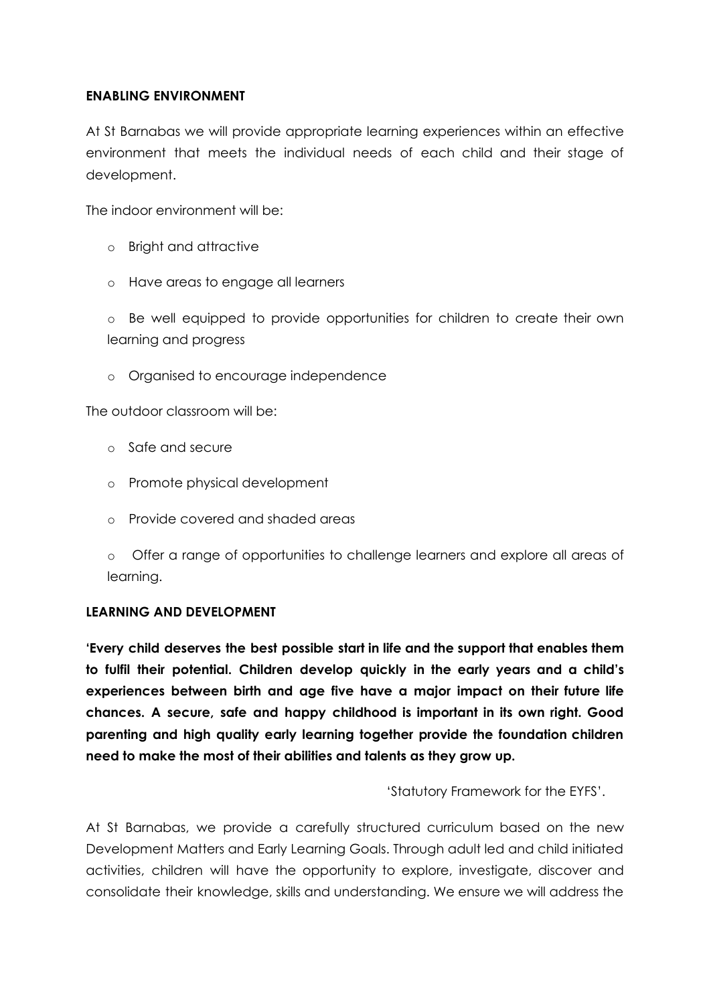# **ENABLING ENVIRONMENT**

At St Barnabas we will provide appropriate learning experiences within an effective environment that meets the individual needs of each child and their stage of development.

The indoor environment will be:

- o Bright and attractive
- o Have areas to engage all learners

o Be well equipped to provide opportunities for children to create their own learning and progress

o Organised to encourage independence

The outdoor classroom will be:

- o Safe and secure
- o Promote physical development
- o Provide covered and shaded areas
- o Offer a range of opportunities to challenge learners and explore all areas of learning.

## **LEARNING AND DEVELOPMENT**

**'Every child deserves the best possible start in life and the support that enables them to fulfil their potential. Children develop quickly in the early years and a child's experiences between birth and age five have a major impact on their future life chances. A secure, safe and happy childhood is important in its own right. Good parenting and high quality early learning together provide the foundation children need to make the most of their abilities and talents as they grow up.**

'Statutory Framework for the EYFS'.

At St Barnabas, we provide a carefully structured curriculum based on the new Development Matters and Early Learning Goals. Through adult led and child initiated activities, children will have the opportunity to explore, investigate, discover and consolidate their knowledge, skills and understanding. We ensure we will address the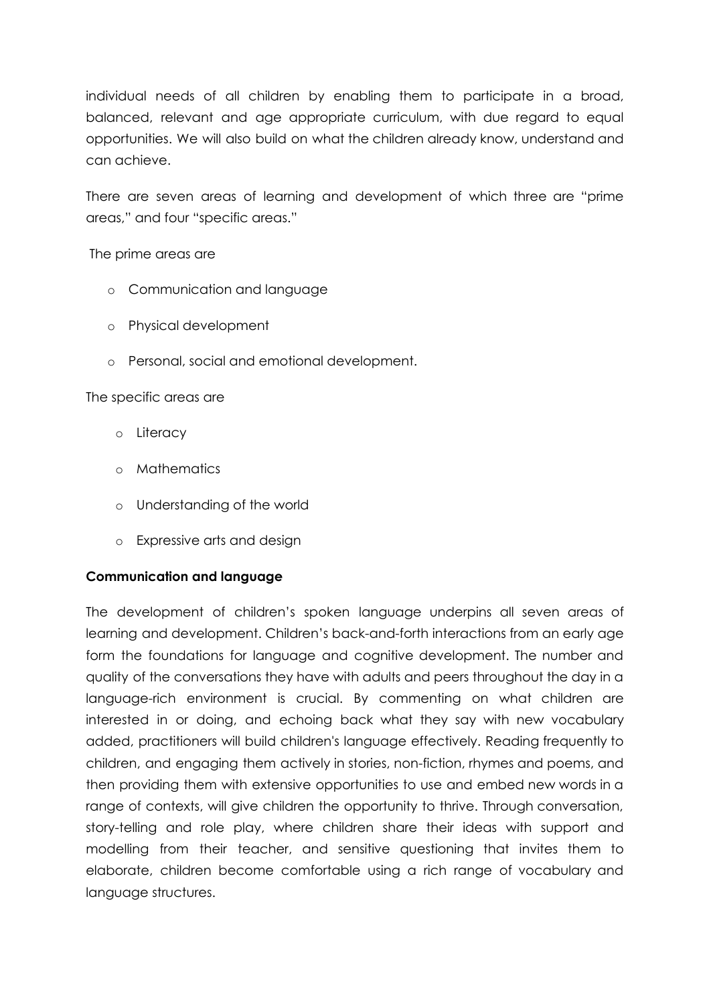individual needs of all children by enabling them to participate in a broad, balanced, relevant and age appropriate curriculum, with due regard to equal opportunities. We will also build on what the children already know, understand and can achieve.

There are seven areas of learning and development of which three are "prime areas," and four "specific areas."

The prime areas are

- o Communication and language
- o Physical development
- o Personal, social and emotional development.

The specific areas are

- o Literacy
- o Mathematics
- o Understanding of the world
- o Expressive arts and design

# **Communication and language**

The development of children's spoken language underpins all seven areas of learning and development. Children's back-and-forth interactions from an early age form the foundations for language and cognitive development. The number and quality of the conversations they have with adults and peers throughout the day in a language-rich environment is crucial. By commenting on what children are interested in or doing, and echoing back what they say with new vocabulary added, practitioners will build children's language effectively. Reading frequently to children, and engaging them actively in stories, non-fiction, rhymes and poems, and then providing them with extensive opportunities to use and embed new words in a range of contexts, will give children the opportunity to thrive. Through conversation, story-telling and role play, where children share their ideas with support and modelling from their teacher, and sensitive questioning that invites them to elaborate, children become comfortable using a rich range of vocabulary and language structures.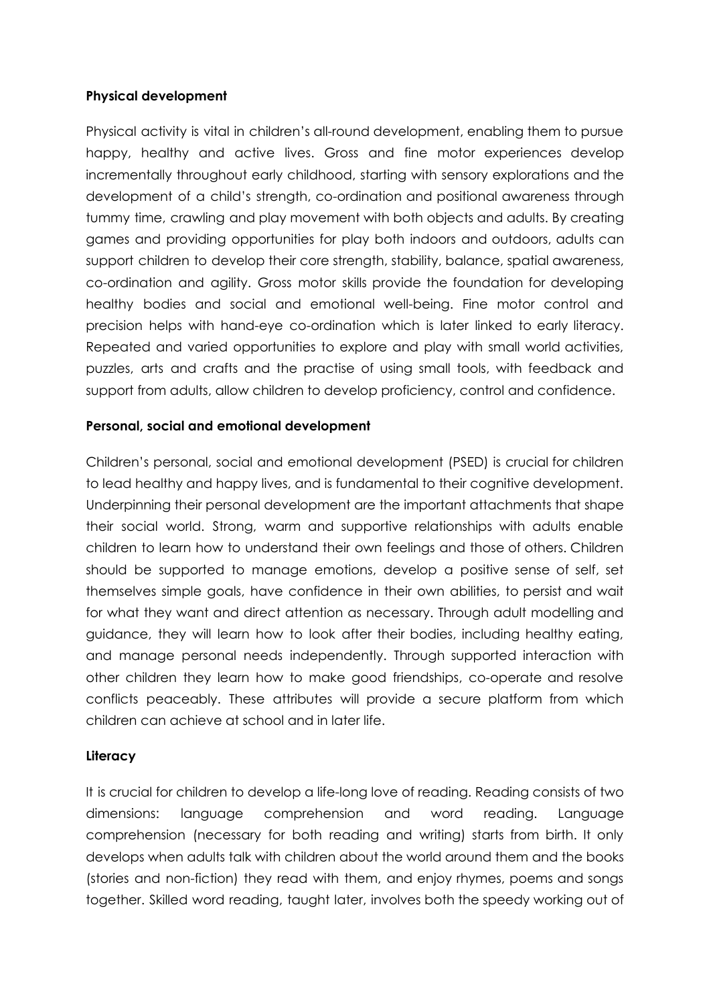# **Physical development**

Physical activity is vital in children's all-round development, enabling them to pursue happy, healthy and active lives. Gross and fine motor experiences develop incrementally throughout early childhood, starting with sensory explorations and the development of a child's strength, co-ordination and positional awareness through tummy time, crawling and play movement with both objects and adults. By creating games and providing opportunities for play both indoors and outdoors, adults can support children to develop their core strength, stability, balance, spatial awareness, co-ordination and agility. Gross motor skills provide the foundation for developing healthy bodies and social and emotional well-being. Fine motor control and precision helps with hand-eye co-ordination which is later linked to early literacy. Repeated and varied opportunities to explore and play with small world activities, puzzles, arts and crafts and the practise of using small tools, with feedback and support from adults, allow children to develop proficiency, control and confidence.

## **Personal, social and emotional development**

Children's personal, social and emotional development (PSED) is crucial for children to lead healthy and happy lives, and is fundamental to their cognitive development. Underpinning their personal development are the important attachments that shape their social world. Strong, warm and supportive relationships with adults enable children to learn how to understand their own feelings and those of others. Children should be supported to manage emotions, develop a positive sense of self, set themselves simple goals, have confidence in their own abilities, to persist and wait for what they want and direct attention as necessary. Through adult modelling and guidance, they will learn how to look after their bodies, including healthy eating, and manage personal needs independently. Through supported interaction with other children they learn how to make good friendships, co-operate and resolve conflicts peaceably. These attributes will provide a secure platform from which children can achieve at school and in later life.

## **Literacy**

It is crucial for children to develop a life-long love of reading. Reading consists of two dimensions: language comprehension and word reading. Language comprehension (necessary for both reading and writing) starts from birth. It only develops when adults talk with children about the world around them and the books (stories and non-fiction) they read with them, and enjoy rhymes, poems and songs together. Skilled word reading, taught later, involves both the speedy working out of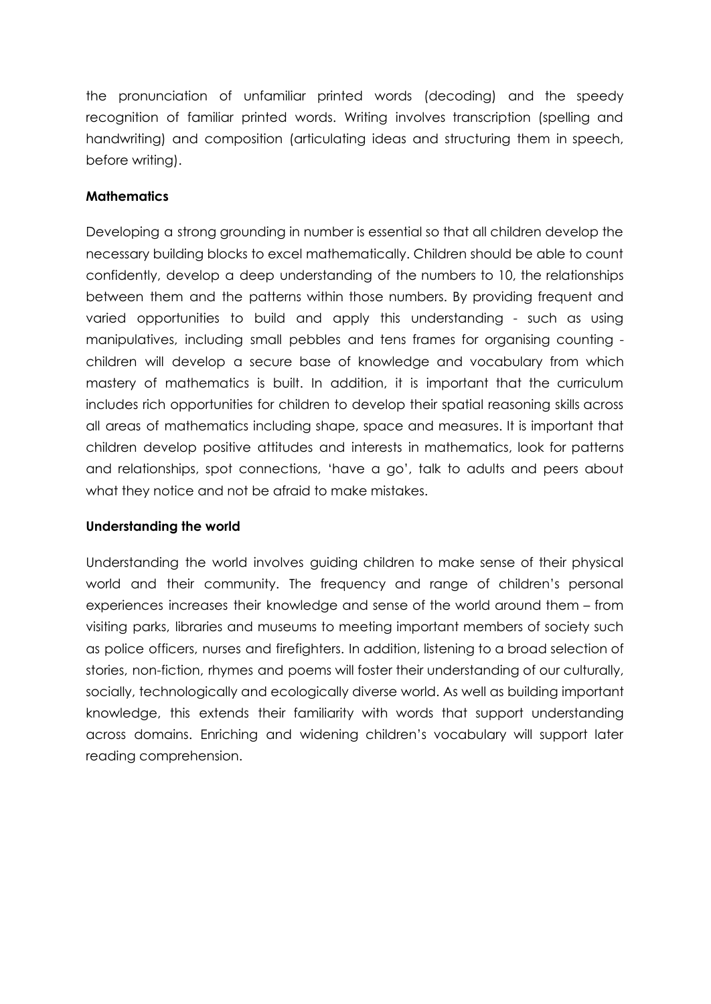the pronunciation of unfamiliar printed words (decoding) and the speedy recognition of familiar printed words. Writing involves transcription (spelling and handwriting) and composition (articulating ideas and structuring them in speech, before writing).

## **Mathematics**

Developing a strong grounding in number is essential so that all children develop the necessary building blocks to excel mathematically. Children should be able to count confidently, develop a deep understanding of the numbers to 10, the relationships between them and the patterns within those numbers. By providing frequent and varied opportunities to build and apply this understanding - such as using manipulatives, including small pebbles and tens frames for organising counting children will develop a secure base of knowledge and vocabulary from which mastery of mathematics is built. In addition, it is important that the curriculum includes rich opportunities for children to develop their spatial reasoning skills across all areas of mathematics including shape, space and measures. It is important that children develop positive attitudes and interests in mathematics, look for patterns and relationships, spot connections, 'have a go', talk to adults and peers about what they notice and not be afraid to make mistakes.

## **Understanding the world**

Understanding the world involves guiding children to make sense of their physical world and their community. The frequency and range of children's personal experiences increases their knowledge and sense of the world around them – from visiting parks, libraries and museums to meeting important members of society such as police officers, nurses and firefighters. In addition, listening to a broad selection of stories, non-fiction, rhymes and poems will foster their understanding of our culturally, socially, technologically and ecologically diverse world. As well as building important knowledge, this extends their familiarity with words that support understanding across domains. Enriching and widening children's vocabulary will support later reading comprehension.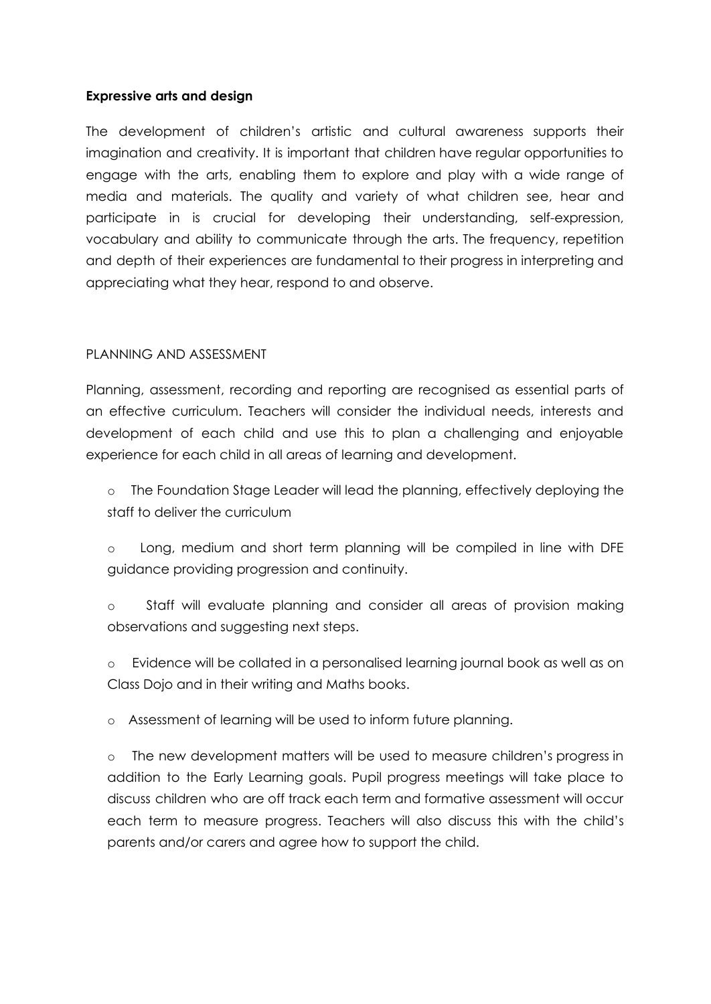## **Expressive arts and design**

The development of children's artistic and cultural awareness supports their imagination and creativity. It is important that children have regular opportunities to engage with the arts, enabling them to explore and play with a wide range of media and materials. The quality and variety of what children see, hear and participate in is crucial for developing their understanding, self-expression, vocabulary and ability to communicate through the arts. The frequency, repetition and depth of their experiences are fundamental to their progress in interpreting and appreciating what they hear, respond to and observe.

# PLANNING AND ASSESSMENT

Planning, assessment, recording and reporting are recognised as essential parts of an effective curriculum. Teachers will consider the individual needs, interests and development of each child and use this to plan a challenging and enjoyable experience for each child in all areas of learning and development.

o The Foundation Stage Leader will lead the planning, effectively deploying the staff to deliver the curriculum

o Long, medium and short term planning will be compiled in line with DFE guidance providing progression and continuity.

o Staff will evaluate planning and consider all areas of provision making observations and suggesting next steps.

o Evidence will be collated in a personalised learning journal book as well as on Class Dojo and in their writing and Maths books.

o Assessment of learning will be used to inform future planning.

o The new development matters will be used to measure children's progress in addition to the Early Learning goals. Pupil progress meetings will take place to discuss children who are off track each term and formative assessment will occur each term to measure progress. Teachers will also discuss this with the child's parents and/or carers and agree how to support the child.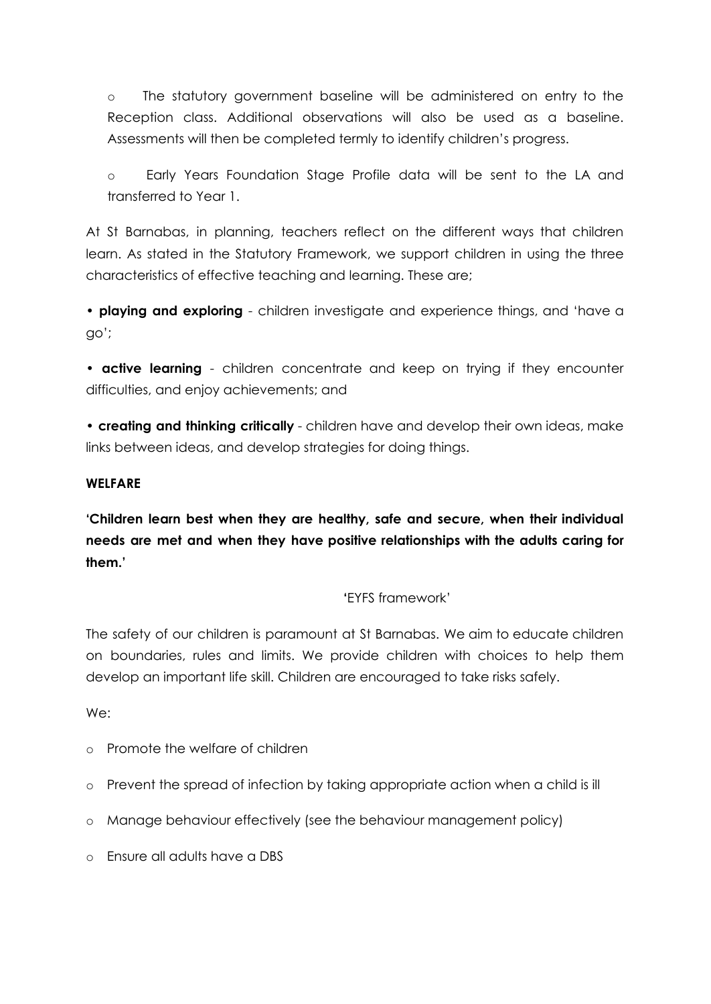o The statutory government baseline will be administered on entry to the Reception class. Additional observations will also be used as a baseline. Assessments will then be completed termly to identify children's progress.

o Early Years Foundation Stage Profile data will be sent to the LA and transferred to Year 1.

At St Barnabas, in planning, teachers reflect on the different ways that children learn. As stated in the Statutory Framework, we support children in using the three characteristics of effective teaching and learning. These are;

• **playing and exploring** - children investigate and experience things, and 'have a go';

• **active learning** - children concentrate and keep on trying if they encounter difficulties, and enjoy achievements; and

• **creating and thinking critically** - children have and develop their own ideas, make links between ideas, and develop strategies for doing things.

# **WELFARE**

**'Children learn best when they are healthy, safe and secure, when their individual needs are met and when they have positive relationships with the adults caring for them.'**

# **'**EYFS framework'

The safety of our children is paramount at St Barnabas. We aim to educate children on boundaries, rules and limits. We provide children with choices to help them develop an important life skill. Children are encouraged to take risks safely.

We:

- o Promote the welfare of children
- o Prevent the spread of infection by taking appropriate action when a child is ill
- o Manage behaviour effectively (see the behaviour management policy)
- o Ensure all adults have a DBS